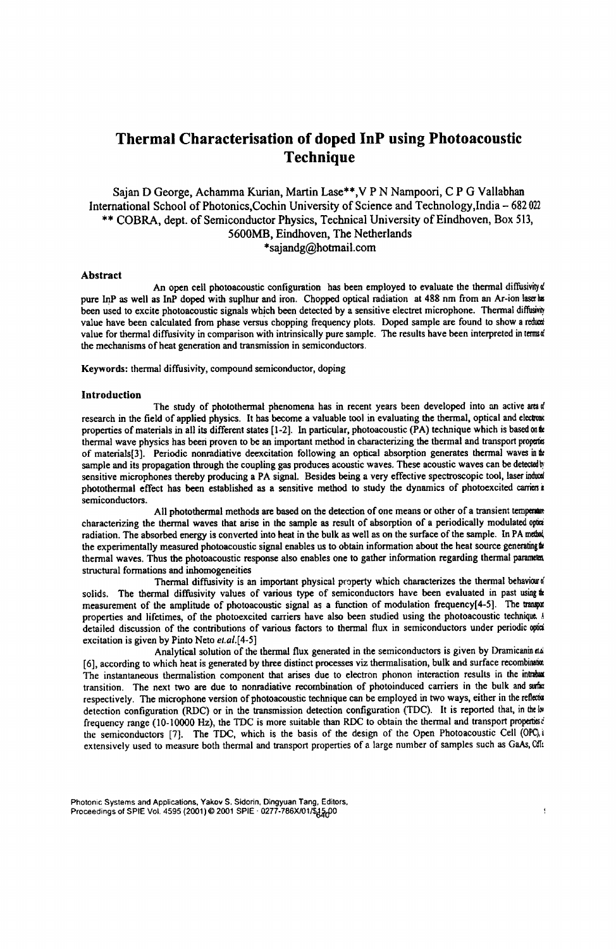# **Thermal Characterisation of doped InP using Photoacoustic Technique**

Sajan D George, Achamma Kurian, Martin Lase\*\*,V P N Nampoori, C PG Vallabhan International School of Photonics, Cochin University of Science and Technology, India - 682022 \*\* COBRA, dept. of Semiconductor Physics, Technical University of Eindhoven, Box 513, 5600MB, Eindhoven, The Netherlands \*sajandg@hotmail.com

## Abstract

An open cell photoacoustic configuration has been employed to evaluate the thermal diffusivity  $\phi$ pure InP as well as InP doped with suplhur and iron. Chopped optical radiation at 488 nm from an Ar-ion laser hs been used to excite photoacoustic signals which been detected by a sensitive electret microphone. Thermal diffusivity value have been calculated from phase versus chopping frequency plots. Doped sample are found to show a reduct value for thermal diffusivity in comparison with intrinsically pure sample. The results have been interpreted in tenns of the mechanisms of heat generation and transmission in semiconductors.

Keywords: thermal diffusivity, compound semiconductor, doping

#### Introduction

The study of photothermal phenomena has in recent years been developed into an active area of research in the field of applied physics. It has become a valuable tool in evaluating the thermal, optical and electron properties of materials in all its different states [1-2]. In particular, photoacoustic (PA) technique which is based on the thermal wave physics has been proven to be an important method in characterizing the thermal and transport propris of materials[3]. Periodic nonradiative deexcitation following an optical absorption generates thermal waves in the sample and its propagation through the coupling gas produces acoustic waves. These acoustic waves can be detected  $\phi$ sensitive microphones thereby producing a PA signal. Besides being a very effective spectroscopic tool, laser induct photothermal effect has been established as a sensitive method to study the dynamics of photoexcited carriers i semiconductors.

All photothermal methods are based on the detection of one means or other of a transient temperature characterizing the thermal waves that arise in the sample as result of absorption of a periodically modulated opta radiation. The absorbed energy is converted into heat in the bulk as well as on the surface of the sample. In PA methol, the experimentally measured photoacoustic signal enables us to obtain information about the heat source generating thermal waves. Thus the photoacoustic response also enables one to gather information regarding thermal parameta, structural formations and inhomogeneities

Thermal diffusivity is an important physical property which characterizes the thermal behaviour of solids. The thermal diffusivity values of various type of semiconductors have been evaluated in past using  $\pm$ measurement of the amplitude of photoacoustic signal as a function of modulation frequency[4-5]. The transpar properties and lifetimes, of the photoexcited carriers have also been studied using the photoacoustic technique. A detailed discussion of the contributions of various factors to thermal flux in semiconductors under periodic opta excitation is given by Pinto Neto *et.al.[4-5]* 

Analytical solution of the thermal flux generated in the semiconductors is given by Dramicanin etai [6], according to which heat is generated by three distinct processes viz thermalisation, bulk and surface recombination The instantaneous thermalistion component that arises due to electron phonon interaction results in the intrabat transition. The next two are due to nonradiative recombination of photoinduced carriers in the bulk and surfac respectively. The microphone version of photoacoustic technique can be employed in two ways, either in the reflects detection configuration (RDC) or in the transmission detection configuration (TDC). It is reported that, in the 10 frequency range (10-10000 Hz), the TDC is more suitable than RDC to obtain the thermal and transport properties $\dot{\epsilon}$ the semiconductors [7]. The TDC, which is the basis of the design of the Open Photoacoustic Cell (OPC), i extensively used to measure both thermal and transport properties of a large number of samples such as GaAs, Cfl: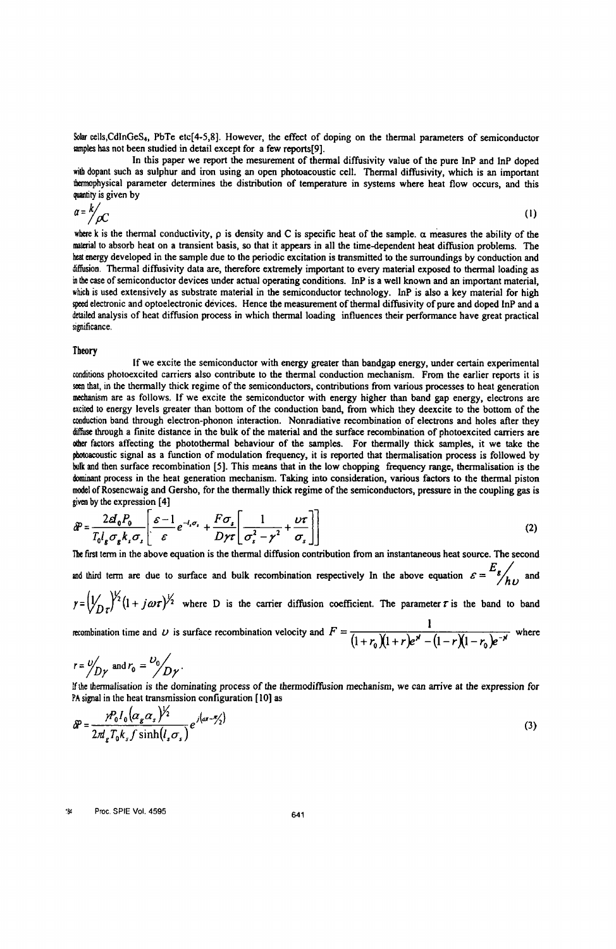Solar cells,CdInGeS4, PbTe etc[4-5,8]. However, the effect of doping on the thermal parameters of semiconductor samples has not been studied in detail except for a few reports[9].

In this paper we report the mesurement of thennal diffusivity value of the pure InP and InP doped with dopant such as sulphur and iron using an open photoacoustic cell. Thermal diffusivity, which is an important thermophysical parameter determines the distribution of temperature in systems where heat flow occurs, and this quantity is given by

$$
\alpha = k / \rho C \tag{1}
$$

where k is the thermal conductivity,  $\rho$  is density and C is specific heat of the sample.  $\alpha$  measures the ability of the material to absorb heat on a transient basis, so that it appears in all the time-dependent heat diffusion problems. The beat energy developed in the sample due to the periodic excitation is transmitted to the surroundings by conduction and diffusion. Thermal diffusivity data are, therefore extremely important to every material exposed to thermal loading as in the case of semiconductor devices under actual operating conditions. lnP is a well known and an important material, which is used extensively as substrate material in the semiconductor technology. InP is also a key material for high speed electronic and optoelectronic devices. Hence the measurement of thennal diffusivity of pure and doped InP and a detailed analysis of heat diffusion process in which thermal loading influences their performance have great practical significance.

#### Theory

If we excite the semiconductor with energy greater than bandgap energy, under certain experimental conditions photoexcited carriers also contribute to the thermal conduction mechanism. From the earlier reports it is seen that, in the thermally thick regime of the semiconductors, contributions from various processes to heat generation mechanism are as follows. If we excite the semiconductor with energy higher than band gap energy, electrons are excited to energy levels greater than bottom of the conduction band, from which they deexcite to the bottom of the conduction band through electron-phonon interaction. Nonradiative recombination of electrons and holes after they diffuse through a finite distance in the bulk of the material and the surface recombination of photoexcited carriers are other factors affecting the photothermal behaviour of the samples. For thennally thick samples, it we take the photoacoustic signal as a function of modulation frequency, it is reported that thermalisation process is followed by bulk and then surface recombination [5]. This means that in the low chopping frequency range, thermalisation is the dominant process in the heat generation mechanism. Taking into consideration, various factors to the thermal piston model of Rosencwaig and Gersho, for the thennally thick regime of the semiconductors, pressure in the coupling gas is given by the expression [4]

$$
\delta P = \frac{2d_0 P_0}{T_0 l_g \sigma_g k_s \sigma_s} \left[ \frac{\varepsilon - 1}{\varepsilon} e^{-l_s \sigma_s} + \frac{F \sigma_s}{D \gamma \tau} \left[ \frac{1}{\sigma_s^2 - \gamma^2} + \frac{\nu \tau}{\sigma_s} \right] \right]
$$
(2)

The first term in the above equation is the thermal diffusion contribution from an instantaneous heat source. The second and third term are due to surface and bulk recombination respectively In the above equation  $\mathcal{E} = \frac{E_g}{h_{11}}$  and

 $r = (V_{D\tau})^{\frac{1}{2}} (1 + j \omega \tau)^{\frac{1}{2}}$  where D is the carrier diffusion coefficient. The parameter  $\tau$  is the band to band

recombination time and *U* is surface recombination velocity and  $F = \frac{1}{(1+r_0)(1+r)e^{\gamma} - (1-r)(1-r_0)e^{-\gamma}}$  where

$$
r = \frac{\nu}{\rho \gamma}
$$
 and  $r_0 = \frac{\nu_0}{\rho \gamma}$ .

If the thennalisation is the dominating process of the thennodiffusion mechanism, we can arrive at the expression for PA signal in the heat transmission configuration [10] as

$$
\delta P = \frac{\gamma P_0 I_0 (\alpha_g \alpha_s)^{\gamma_2}}{2\pi l_g T_0 k_s f \sinh(l_s \sigma_s)} e^{j(\alpha r - \tau_2')} \tag{3}
$$

'84 Proc. SPIE Vol. 4595 641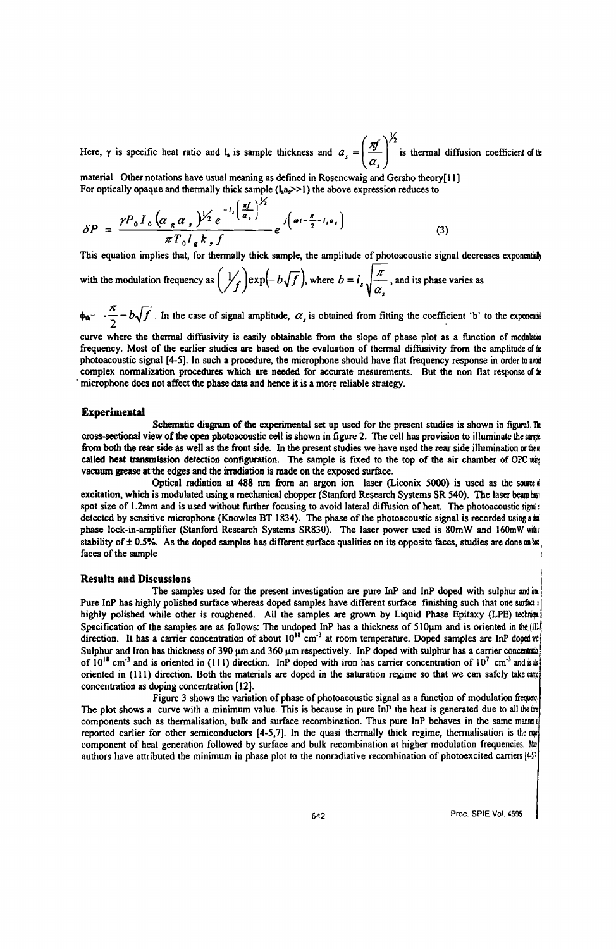Here,  $\gamma$  is specific heat ratio and  $l_s$  is sample thickness and  $a_s = \left(\frac{\pi f}{g}\right)^{\frac{1}{2}}$  is thermal diffusion coefficient of  $\frac{1}{2}$ 

material. Other notations have usual meaning as defined in Rosencwaig and Gersho theory[ 11] For optically opaque and thermally thick sample  $(l, a, >1)$  the above expression reduces to

$$
\delta P = \frac{\gamma P_0 I_0 \left( \alpha_g \alpha_s \right)^{1/2} e^{-t_1 \left( \frac{\pi f}{\alpha_s} \right)^{1/2}}}{\pi T_0 t_g k_s f} e^{-t \left( \omega t - \frac{\pi}{2} - t_i \alpha_s \right)}
$$
(3)

This equation implies that, for thermally thick sample, the amplitude of photoacoustic signal decreases exponentially

with the modulation frequency as  $(y_f)$  exp $(-b\sqrt{f})$ , where  $b = l_s \sqrt{\frac{\pi}{\alpha_s}}$ , and its phase varies as

 $\phi_{\mu} = -\frac{\pi}{2} - b\sqrt{f}$ . In the case of signal amplitude,  $\alpha_s$  is obtained from fitting the coefficient 'b' to the exponential

curve where the thermal diffusivity is easily obtainable from the slope of phase plot as a function of modulator frequency. Most of the earlier studies are based on the evaluation of thermal diffusivity from the amplitude of the photoacoustic signal [4-5]. In such a procedure, the microphone should have flat frequency response in order to avoid complex normalization procedures which are needed for accurate mesurements. But the non flat response of  $\omega$ • microphone does not affect the phase data and hence it is a more reliable strategy.

## Experimental

Schematic diagram of the experimental set up used for the present studies is shown in figurel. The cross-sectional view of the open photoacoustic cell is shown in figure 2. The cell has provision to illuminate the same from both the rear side as well as the front side. In the present studies we have used the rear side illumination or then called heat transmission detection configuration. The sample is fixed to the top of the air chamber of OPC usq vacuum grease at the edges and the irradiation is made on the exposed surface.

Optical radiation at 488 nm from an argon ion laser (Liconix 5000) is used as the source of excitation, which is modulated using a mechanical chopper (Stanford Research Systems SR 540). The laser beam has spot size of 1.2mm and is used without further focusing to avoid lateral diffusion of heat. The photoacoustic signal detected by sensitive microphone (Knowles BT 1834). The phase of the photoacoustic signal is recorded using a ba phase lock-in-amplifier (Stanford Research Systems SR830). The laser power used is 80mW and 160mW will stability of  $\pm$  0.5%. As the doped samples has different surface qualities on its opposite faces, studies are done on be faces of the sample

## **Results and Discussions**

The samples used for the present investigation are pure InP and InP doped with sulphur and in Pure InP has highly polished surface whereas doped samples have different surface finishing such that one surface highly polished while other is roughened. All the samples are grown by Liquid Phase Epitaxy (LPE) techniqu Specification of the samples are as follows: The undoped InP has a thickness of 510 $\mu$ m and is oriented in the (II;. direction. It has a carrier concentration of about  $10^{18}$  cm<sup>-3</sup> at room temperature. Doped samples are InP doped wi Sulphur and Iron has thickness of 390 µm and 360 µm respectively. InP doped with sulphur has a carrier concentral of  $10^{18}$  cm<sup>-3</sup> and is oriented in (111) direction. InP doped with iron has carrier concentration of  $10^{7}$  cm<sup>-3</sup> and is as oriented in (111) direction. Both the materials are doped in the saturation regime so that we can safely take anr concentration as doping concentration [12].

Figure 3 shows the variation of phase of photoacoustic signal as a function of modulation frequence The plot shows a curve with a minimum value. This is because in pure InP the heat is generated due to all the  $\pm$ components such as thermalisation, bulk and surface recombination. Thus pure InP behaves in the same manner reported earlier for other semiconductors  $[4-5,7]$ . In the quasi thermally thick regime, thermalisation is the my component of heat generation followed by surface and bulk recombination at higher modulation frequencies. May authors have attributed the minimum in phase plot to the nonradiative recombination of photoexcited carriers  $[45]$ 

642 Proc. SPIE Vo!. 4595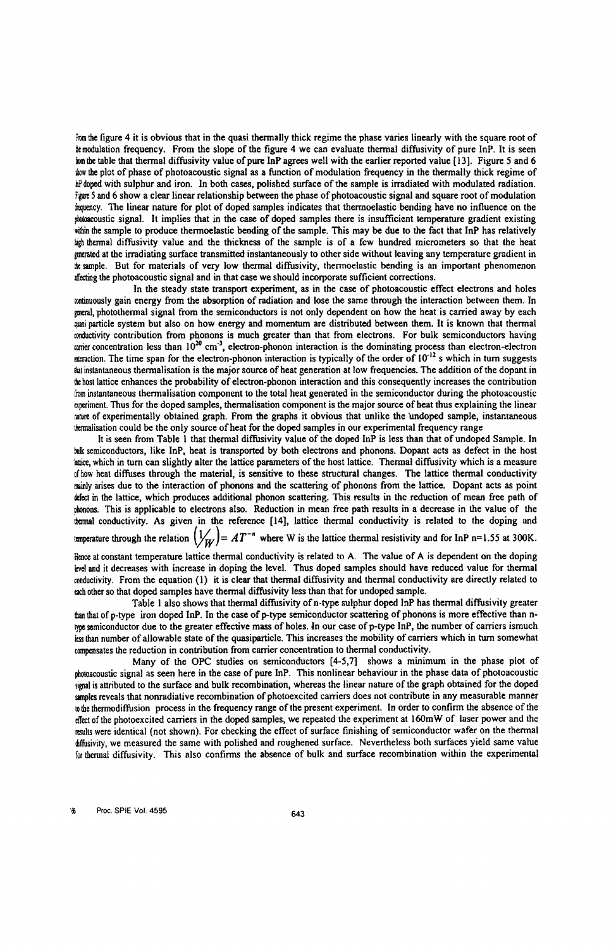from the figure 4 it is obvious that in the quasi thermally thick regime the phase varies linearly with the square root of <sup>~</sup>modulation frequency. From the slope of the figure 4 we can evaluate thermal diffusivity of pure InP. It is seen fion the table that thermal diffusivity value of pure InP agrees well with the earlier reported value [13]. Figure 5 and 6 !bow the plot of phase of photoacoustic signal as a function of modulation frequency in the thermally thick regime of InfJ doped with sulphur and iron. In both cases, polished surface of the sample is irradiated with modulated radiation. ripe 5 and 6 show a clear linear relationship between the phase of photoacoustic signal and square root of modulation 3tquency. The linear nature for plot of doped samples indicates that thennoelastic bending have no influence on the plot the signal. It implies that in the case of doped samples there is insufficient temperature gradient existing within the sample to produce thermoelastic bending of the sample. This may be due to the fact that InP has relatively high thermal diffusivity value and the thickness of the sample is of a few hundred micrometers so that the heat gmerated at the irradiating surface transmitted instantaneously to other side without leaving any temperature gradient in ~e sample. But for materials of very low thermal diffusivity, thermoelastic bending is an important phenomenon Jffecting the photoacoustic signal and in that case we should incorporate sufficient corrections.

In the steady state transport experiment, as in the case of photoacoustic effect electrons and holes entinuously gain energy from the absorption of radiation and lose the same through the interaction between them. In gmeral, photothermal signal from the semiconductors is not only dependent on how the heat is carried away by each pasi particle system but also on how energy and momentum are distributed between them. It is known that thermal conductivity contribution from phonons is much greater than that from electrons. For bulk semiconductors having amer concentration less than  $10^{20}$  cm<sup>-3</sup>, electron-phonon interaction is the dominating process than electron-electron meraction. The time span for the electron-phonon interaction is typically of the order of  $10^{-12}$  s which in turn suggests tat instantaneous thermalisation is the major source of heat generation at low frequencies. The addition of the dopant in the host lattice enhances the probability of electron-phonon interaction and this consequently increases the contribution from instantaneous thermalisation component to the total heat generated in the semiconductor during the photoacoustic experiment. Thus for the doped samples, thermalisation component is the major source of heat thus explaining the linear :l8rure of experimentally obtained graph. From the graphs it obvious that unlike the 'undoped sample, instantaneous ~rmalisation could be the only source of heat for the doped samples in our experimental frequency range

It is seen from Table 1 that thennal diffusivity value of the doped InP is less than that of undoped Sample. In balk semiconductors, like InP, heat is transported by both electrons and phonons. Dopant acts as defect in the host hattice, which in turn can slightly alter the lattice parameters of the host lattice. Thermal diffusivity which is a measure orhow heat diffuses through the material. is sensitive to these structural changes. The lattice thermal conductivity mainly arises due to the interaction of phonons and the scattering of phonons from the lattice. Dopant acts as point defect in the lattice, which produces additional phonon scattering. This results in the reduction of mean free path of phonons. This is applicable to electrons also, Reduction in mean free path results in a decrease in the value of the themal conductivity. As given in the reference [14], lattice thermal conductivity is related to the doping and lemperature through the relation  $\left(\frac{1}{W}\right) = AT^{-n}$  where W is the lattice thermal resistivity and for InP n=1.55 at 300K.

Hence at constant temperature lattice thermal conductivity is related to A. The value of A is dependent on the doping level and it decreases with increase in doping the level. Thus doped samples should have reduced value for thermal conductivity. From the equation (1) it is clear that thermal diffusivity and thermal conductivity are directly related to each other so that doped samples have thermal diffusivity less than that for undoped sample.

Table 1 also shows that thermal diffusivity of n-type sulphur doped InP has thermal diffusivity greater than that of p-type iron doped InP. In the case of p-type semiconductor scattering of phonons is more effective than ntype semiconductor due to the greater effective mass of holes. In our case of p-type InP, the number of carriers ismuch iess than number of allowable state of the quasiparticle. This increases the mobility of carriers which in turn somewhat tompensates the reduction in contribution from carrier concentration to thermal conductivity.

Many of the OPC studies on semiconductors [4-5,7] shows a minimum in the phase plot of ~oacoustic signal as seen here in the case of pure InP. This non linear behaviour in the phase data of photoacoustic signal is attributed to the surface and bulk recombination, whereas the linear nature of the graph obtained for the doped samples reveals that nonradiative recombination of photoexcited carriers does not contribute in any measurable manner whe thermodiffusion process in the frequency range of the present experiment. In order to confirm the absence of the effect of the photoexcited carriers in the doped samples, we repeated the experiment at 160mW of laser power and the ItSIIllS were identical (not shown). For checking the effect of surface finishing of semiconductor wafer on the thermal diffusivity. we measured the same with polished and roughened surface. Nevertheless both surfaces yield same value for thermal diffusivity. This also confirms the absence of bulk and surface recombination within the experimental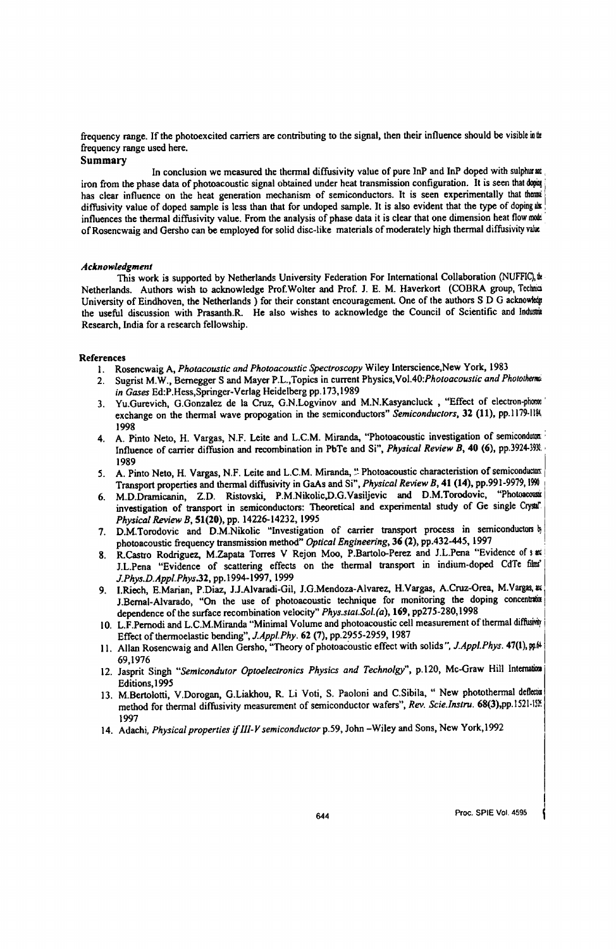frequency range. If the photoexcited carriers are contributing to the signal, then their influence should be visible in the frequency range used here.

#### Summary

In conclusion we measured the thermal diffusivity value of pure InP and InP doped with sulphur at iron from the phase data of photoacoustic signal obtained under heat transmission configuration. It is seen that doping has clear influence on the heat generation mechanism of semiconductors. It is seen experimentally that thermat diffusivity value of doped sample is less than that for undoped sample. It is also evident that the type of doping a influences the thermal diffusivity value. From the analysis of phase data it is clear that one dimension heat flow mode of Rosencwaig and Gersho can be employed for solid disc-like materials of moderately high thermal diffusivity value.

### *Acknowledgment*

This work is supported by Netherlands University Federation For International Collaboration (NUFFIC), in Netherlands. Authors wish to acknowledge Prof. Wolter and Prof. J. E. M. Haverkort (COBRA group, Technia University of Eindhoven, the Netherlands) for their constant encouragement. One of the authors S D G acknowledge the useful discussion with Prasanth.R. He also wishes to acknowledge the Council of Scientific and Industrial Research, India for a research fellowship.

#### References

- 1. Rosencwaig A, *Photacoustic and Photoacoustic Spectroscopy* Wiley Interscience,New York, 1983
- 2. Sugrist M.W., Bernegger S and Mayer P.L., Topics in current Physics, Vol.40: Photoacoustic and Phototherma *in Gases* Ed:P .Hess,Springer-Verlag Heidelberg pp.173,1989
- 3. Yu.Gurevich, G.Gonzalez de la Cruz, G.N.Logvinov and M.N.Kasyancluck , "Effect of electron·phonon ' exchange on the thermal wave propogation in the semiconductors" *Semiconductors*, 32 (11), pp.1179-1184 1998
- 4. A. Pinto Neto, H. Vargas, N.F. Leite and L.C.M. Miranda, "Photoacoustic investigation of semicondum i Influence of carrier diffusion and recombination in PbTe and Si", *Physical Review B*, 40 (6), pp.3924-399,
- 1989<br>5. A. Pinto Neto, H. Vargas, N.F. Leite and L.C.M. Miranda, "Photoacoustic characteristion of semiconducters Transport properties and thermal diffusivity in GaAs and Si", *Physical Review B*, 41 (14), pp.991-9979, 1990
- 6. M.D.Dramicanin, Z.D. Ristovski, P.M.Nikolic,D.G.Vasiljevic and D.M.Torodovic, "Photoacoust investigation of transport in semiconductors: Theoretical and experimental study of Ge single Crystal' *Physical Review B,* 51(20), pp. 14226-14232, 1995
- 7. D.M.Torodovic and D.M.Nikolic "Investigation of carrier transport process in semiconductors  $\phi$ photoacoustic frequency transmission method" *Optical Engineen'ng,* 36 (2), pp.432-445, 1997
- 8. R.Castro Rodriguez, M.Zapata Torres V Rejon Moo, P.Bartolo-Perez and J.L.Pena "Evidence of sat 1.L.Pena "Evidence of scattering effects on the thermal transport in indium-doped CdTe films" I |<br>|
- *J.Phys.D.Appl.Phys.32,* pp. 1994-1997 , 1999 9. I.Riech, E.Marian, P.Diaz, J.J.Alvaradi-Gil, J.G.Mendoza-Alvarez, H.Vargas, A.Cruz-Orea, M.Vargas, as J.Bernal-Alvarado, "On the use of photoacoustic technique for monitoring the doping concentration dependence of the dependence of the surface recombination velocity" Phys.stat.Sol.(a), 169, pp275-280, 1998
- 10. L.F.Pernodi and L.C.M.Miranda "Minimal Volume and photoacoustic cell measurement of thermal diffusivity Effect of thermoelastic bending", *J.Appl.Phy.* 62 (7), pp.2955-2959, 1987
- 11. Allan Rosencwaig and Allen Gersho, "Theory of photoacoustic effect with solids", *J.Appl.Phys.* 47(1), pp.4<br>69,1976
- 12. Jasprit Singh "Semicondutor Optoelectronics Physics and Technolgy", p.120, Mc-Graw Hill Internation Editions,I995
- 13. M.Bertolotti, V.Dorogan, G.Liakhou, R. Li Voti, S. Paoloni and C.Sibila, " New photothermal deflecia method for thermal diffusivity measurement of semiconductor wafers", Rev. Scie.Instru. 68(3),pp.1521-15% 1997
- 14. Adachi, *Physical properties if III-V semiconductor* p.59, John -Wiley and Sons, New York, 1992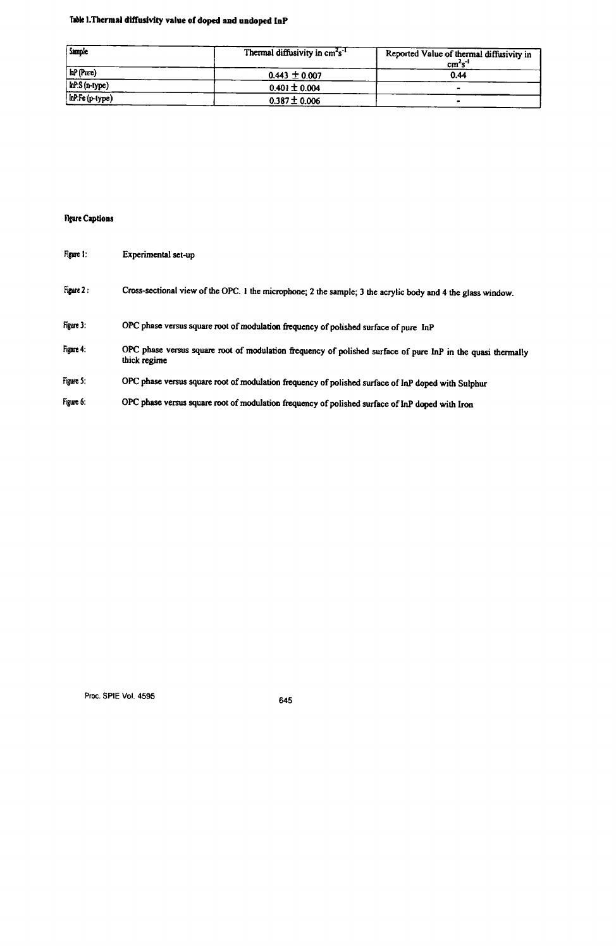## Table 1. Thermal diffusivity value of doped and undoped  $\mathbf{In}\mathbf{P}$

| Sample          | Thermal diffusivity in cm <sup>2</sup> s <sup>-1</sup> | Reported Value of thermal diffusivity in<br>cm's |
|-----------------|--------------------------------------------------------|--------------------------------------------------|
| luP (Pure)      | $0.443 \pm 0.007$                                      | 0.44                                             |
| InP:S (n-type)  | $0.401 \pm 0.004$                                      |                                                  |
| InP:Fe (p-type) | $0.387 \pm 0.006$                                      |                                                  |

## **Figure Captions**

| Figure 1: | Experimental set-up                                                                                                         |
|-----------|-----------------------------------------------------------------------------------------------------------------------------|
| Figure 2: | Cross-sectional view of the OPC. I the microphone; 2 the sample; 3 the acrylic body and 4 the glass window.                 |
| Figure 3: | OPC phase versus square root of modulation frequency of polished surface of pure InP                                        |
| Figure 4: | OPC phase versus square root of modulation frequency of polished surface of pure InP in the quasi thermally<br>thick regime |
| Figure 5: | OPC phase versus square root of modulation frequency of polished surface of InP doped with Sulphur                          |
| Figure 6: | OPC phase versus square root of modulation frequency of polished surface of InP doped with Iron                             |

Proc. SPIE Vol. 4595 645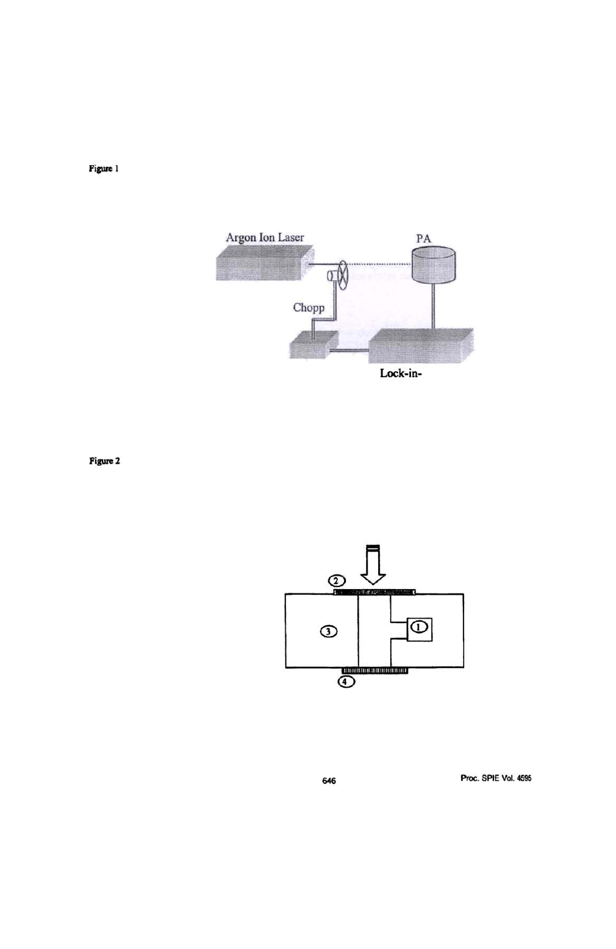

Figure 2



646

Figure 1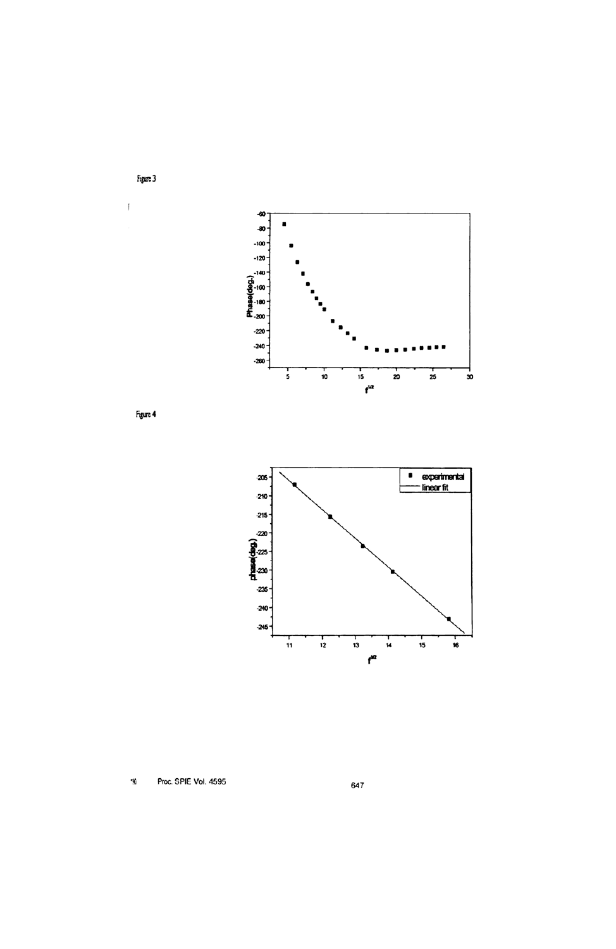

Figure 3

 $\mathfrak{f}$ 

Figure 4



Proc. SPIE Vol. 4595  $\mathfrak{N}$ 

647